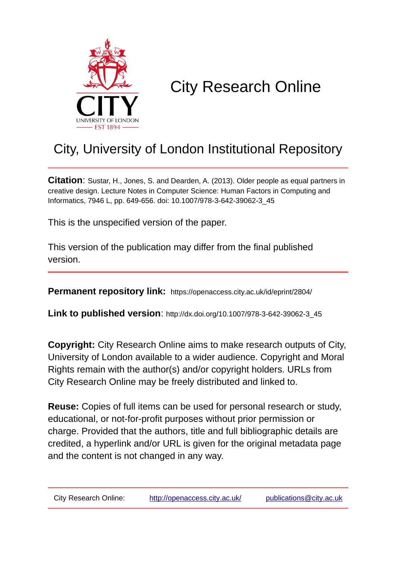

# City Research Online

## City, University of London Institutional Repository

**Citation**: Sustar, H., Jones, S. and Dearden, A. (2013). Older people as equal partners in creative design. Lecture Notes in Computer Science: Human Factors in Computing and Informatics, 7946 L, pp. 649-656. doi: 10.1007/978-3-642-39062-3\_45

This is the unspecified version of the paper.

This version of the publication may differ from the final published version.

**Permanent repository link:** https://openaccess.city.ac.uk/id/eprint/2804/

**Link to published version**: http://dx.doi.org/10.1007/978-3-642-39062-3\_45

**Copyright:** City Research Online aims to make research outputs of City, University of London available to a wider audience. Copyright and Moral Rights remain with the author(s) and/or copyright holders. URLs from City Research Online may be freely distributed and linked to.

**Reuse:** Copies of full items can be used for personal research or study, educational, or not-for-profit purposes without prior permission or charge. Provided that the authors, title and full bibliographic details are credited, a hyperlink and/or URL is given for the original metadata page and the content is not changed in any way.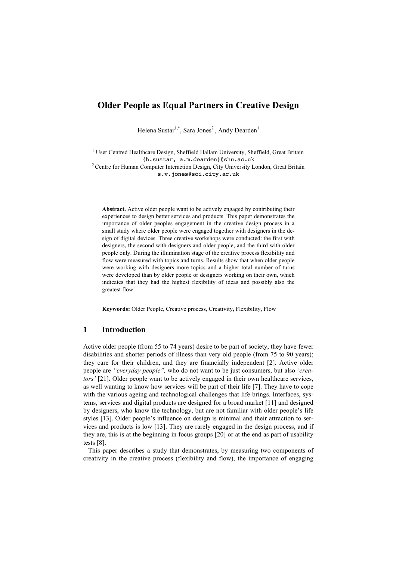### **Older People as Equal Partners in Creative Design**

Helena Sustar<sup>1,\*</sup>, Sara Jones<sup>2</sup>, Andy Dearden<sup>1</sup>

<sup>1</sup> User Centred Healthcare Design, Sheffield Hallam University, Sheffield, Great Britain {h.sustar, a.m.dearden}@shu.ac.uk

<sup>2</sup> Centre for Human Computer Interaction Design, City University London, Great Britain s.v.jones@soi.city.ac.uk

**Abstract.** Active older people want to be actively engaged by contributing their experiences to design better services and products. This paper demonstrates the importance of older peoples engagement in the creative design process in a small study where older people were engaged together with designers in the design of digital devices. Three creative workshops were conducted: the first with designers, the second with designers and older people, and the third with older people only. During the illumination stage of the creative process flexibility and flow were measured with topics and turns. Results show that when older people were working with designers more topics and a higher total number of turns were developed than by older people or designers working on their own, which indicates that they had the highest flexibility of ideas and possibly also the greatest flow.

**Keywords:** Older People, Creative process, Creativity, Flexibility, Flow

#### **1 Introduction**

Active older people (from 55 to 74 years) desire to be part of society, they have fewer disabilities and shorter periods of illness than very old people (from 75 to 90 years); they care for their children, and they are financially independent [2]. Active older people are *"everyday people",* who do not want to be just consumers, but also *'creators'* [21]. Older people want to be actively engaged in their own healthcare services, as well wanting to know how services will be part of their life [7]. They have to cope with the various ageing and technological challenges that life brings. Interfaces, systems, services and digital products are designed for a broad market [11] and designed by designers, who know the technology, but are not familiar with older people's life styles [13]. Older people's influence on design is minimal and their attraction to services and products is low [13]. They are rarely engaged in the design process, and if they are, this is at the beginning in focus groups [20] or at the end as part of usability tests [8].

 This paper describes a study that demonstrates, by measuring two components of creativity in the creative process (flexibility and flow), the importance of engaging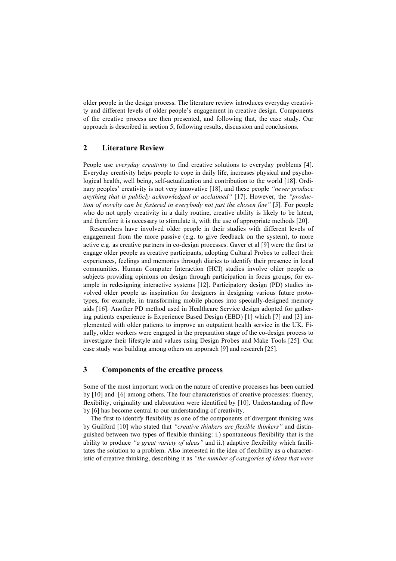older people in the design process. The literature review introduces everyday creativity and different levels of older people's engagement in creative design. Components of the creative process are then presented, and following that, the case study. Our approach is described in section 5, following results, discussion and conclusions.

#### **2 Literature Review**

People use *everyday creativity* to find creative solutions to everyday problems [4]. Everyday creativity helps people to cope in daily life, increases physical and psychological health, well being, self-actualization and contribution to the world [18]. Ordinary peoples' creativity is not very innovative [18], and these people *"never produce anything that is publicly acknowledged or acclaimed"* [17]. However, the *"production of novelty can be fostered in everybody not just the chosen few"* [5]*.* For people who do not apply creativity in a daily routine, creative ability is likely to be latent, and therefore it is necessary to stimulate it, with the use of appropriate methods [20].

 Researchers have involved older people in their studies with different levels of engagement from the more passive (e.g. to give feedback on the system), to more active e.g. as creative partners in co-design processes. Gaver et al [9] were the first to engage older people as creative participants, adopting Cultural Probes to collect their experiences, feelings and memories through diaries to identify their presence in local communities. Human Computer Interaction (HCI) studies involve older people as subjects providing opinions on design through participation in focus groups, for example in redesigning interactive systems [12]. Participatory design (PD) studies involved older people as inspiration for designers in designing various future prototypes, for example, in transforming mobile phones into specially-designed memory aids [16]. Another PD method used in Healthcare Service design adopted for gathering patients experience is Experience Based Design (EBD) [1] which [7] and [3] implemented with older patients to improve an outpatient health service in the UK. Finally, older workers were engaged in the preparation stage of the co-design process to investigate their lifestyle and values using Design Probes and Make Tools [25]. Our case study was building among others on apporach [9] and research [25].

#### **3 Components of the creative process**

Some of the most important work on the nature of creative processes has been carried by [10] and [6] among others. The four characteristics of creative processes: fluency, flexibility, originality and elaboration were identified by [10]. Understanding of flow by [6] has become central to our understanding of creativity.

The first to identify flexibility as one of the components of divergent thinking was by Guilford [10] who stated that *"creative thinkers are flexible thinkers"* and distinguished between two types of flexible thinking: i.) spontaneous flexibility that is the ability to produce *"a great variety of ideas"* and ii.) adaptive flexibility which facilitates the solution to a problem. Also interested in the idea of flexibility as a characteristic of creative thinking, describing it as *"the number of categories of ideas that were*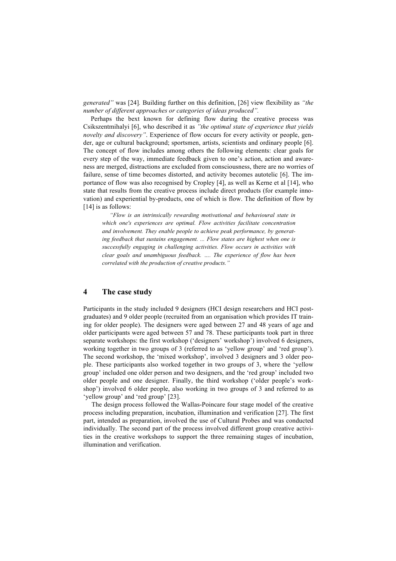*generated"* was [24]*.* Building further on this definition, [26] view flexibility as *"the number of different approaches or categories of ideas produced".*

Perhaps the bext known for defining flow during the creative process was Csikszentmihalyi [6], who described it as *"the optimal state of experience that yields novelty and discovery"*. Experience of flow occurs for every activity or people, gender, age or cultural background; sportsmen, artists, scientists and ordinary people [6]. The concept of flow includes among others the following elements: clear goals for every step of the way, immediate feedback given to one's action, action and awareness are merged, distractions are excluded from consciousness, there are no worries of failure, sense of time becomes distorted, and activity becomes autotelic [6]. The importance of flow was also recognised by Cropley [4], as well as Kerne et al [14], who state that results from the creative process include direct products (for example innovation) and experiential by-products, one of which is flow. The definition of flow by [14] is as follows:

*"Flow is an intrinsically rewarding motivational and behavioural state in which one's experiences are optimal. Flow activities facilitate concentration and involvement. They enable people to achieve peak performance, by generating feedback that sustains engagement. ... Flow states are highest when one is successfully engaging in challenging activities. Flow occurs in activities with clear goals and unambiguous feedback. …. The experience of flow has been correlated with the production of creative products."* 

#### **4 The case study**

Participants in the study included 9 designers (HCI design researchers and HCI postgraduates) and 9 older people (recruited from an organisation which provides IT training for older people). The designers were aged between 27 and 48 years of age and older participants were aged between 57 and 78. These participants took part in three separate workshops: the first workshop ('designers' workshop') involved 6 designers, working together in two groups of 3 (referred to as 'yellow group' and 'red group'). The second workshop, the 'mixed workshop', involved 3 designers and 3 older people. These participants also worked together in two groups of 3, where the 'yellow group' included one older person and two designers, and the 'red group' included two older people and one designer. Finally, the third workshop ('older people's workshop') involved 6 older people, also working in two groups of 3 and referred to as 'yellow group' and 'red group' [23].

 The design process followed the Wallas-Poincare four stage model of the creative process including preparation, incubation, illumination and verification [27]. The first part, intended as preparation, involved the use of Cultural Probes and was conducted individually. The second part of the process involved different group creative activities in the creative workshops to support the three remaining stages of incubation, illumination and verification.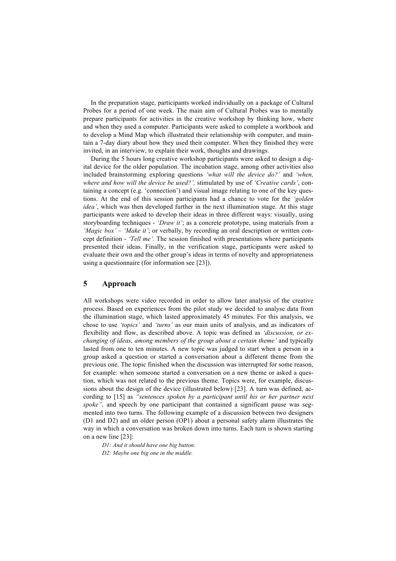In the preparation stage, participants worked individually on a package of Cultural Probes for a period of one week. The main aim of Cultural Probes was to mentally prepare participants for activities in the creative workshop by thinking how, where and when they used a computer. Participants were asked to complete a workbook and to develop a Mind Map which illustrated their relationship with computer, and maintain a 7-day diary about how they used their computer. When they finished they were invited, in an interview, to explain their work, thoughts and drawings.

During the 5 hours long creative workshop participants were asked to design a digital device for the older population. The incubation stage, among other activities also included brainstorming exploring questions *'what will the device do?'* and *'when, where and how will the device be used?',* stimulated by use of *'Creative cards'*, containing a concept (e.g. 'connection') and visual image relating to one of the key questions. At the end of this session participants had a chance to vote for the *'golden idea'*, which was then developed further in the next illumination stage. At this stage participants were asked to develop their ideas in three different ways: visually, using storyboarding techniques - *'Draw it'*; as a concrete prototype, using materials from a *'Magic box' – 'Make it'*; or verbally, by recording an oral description or written concept definition - *'Tell me'.* The session finished with presentations where participants presented their ideas. Finally, in the verification stage, participants were asked to evaluate their own and the other group's ideas in terms of novelty and appropriateness using a questionnaire (for information see [23]).

#### **5 Approach**

All workshops were video recorded in order to allow later analysis of the creative process. Based on experiences from the pilot study we decided to analyse data from the illumination stage, which lasted approximately 45 minutes. For this analysis, we chose to use *'topics'* and *'turns'* as our main units of analysis, and as indicators of flexibility and flow, as described above. A topic was defined as *'discussion, or exchanging of ideas, among members of the group about a certain theme'* and typically lasted from one to ten minutes. A new topic was judged to start when a person in a group asked a question or started a conversation about a different theme from the previous one. The topic finished when the discussion was interrupted for some reason, for example: when someone started a conversation on a new theme or asked a question, which was not related to the previous theme. Topics were, for example, discussions about the design of the device (illustrated below) [23]. A turn was defined, according to [15] as *"sentences spoken by a participant until his or her partner next spoke",* and speech by one participant that contained a significant pause was segmented into two turns. The following example of a discussion between two designers (D1 and D2) and an older person (OP1) about a personal safety alarm illustrates the way in which a conversation was broken down into turns. Each turn is shown starting on a new line [23]:

*D1: And it should have one big button.* 

*D2: Maybe one big one in the middle.*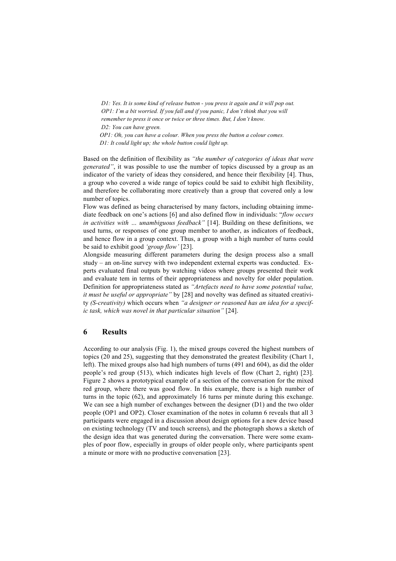*D1: Yes. It is some kind of release button - you press it again and it will pop out. OP1: I'm a bit worried. If you fall and if you panic, I don't think that you will remember to press it once or twice or three times. But, I don't know. D2: You can have green. OP1: Oh, you can have a colour. When you press the button a colour comes. D1: It could light up; the whole button could light up.* 

Based on the definition of flexibility as *"the number of categories of ideas that were generated"*, it was possible to use the number of topics discussed by a group as an indicator of the variety of ideas they considered, and hence their flexibility [4]. Thus, a group who covered a wide range of topics could be said to exhibit high flexibility, and therefore be collaborating more creatively than a group that covered only a low number of topics.

Flow was defined as being characterised by many factors, including obtaining immediate feedback on one's actions [6] and also defined flow in individuals: "*flow occurs in activities with … unambiguous feedback"* [14]. Building on these definitions, we used turns, or responses of one group member to another, as indicators of feedback, and hence flow in a group context. Thus, a group with a high number of turns could be said to exhibit good *'group flow'* [23].

Alongside measuring different parameters during the design process also a small study – an on-line survey with two independent external experts was conducted. Experts evaluated final outputs by watching videos where groups presented their work and evaluate tem in terms of their appropriateness and novelty for older population. Definition for appropriateness stated as *"Artefacts need to have some potential value, it must be useful or appropriate"* by [28] and novelty was defined as situated creativity *(S-creativity)* which occurs when *"a designer or reasoned has an idea for a specific task, which was novel in that particular situation"* [24].

#### **6 Results**

According to our analysis (Fig. 1), the mixed groups covered the highest numbers of topics (20 and 25), suggesting that they demonstrated the greatest flexibility (Chart 1, left). The mixed groups also had high numbers of turns (491 and 604), as did the older people's red group (513), which indicates high levels of flow (Chart 2, right) [23]. Figure 2 shows a prototypical example of a section of the conversation for the mixed red group, where there was good flow. In this example, there is a high number of turns in the topic (62), and approximately 16 turns per minute during this exchange. We can see a high number of exchanges between the designer (D1) and the two older people (OP1 and OP2). Closer examination of the notes in column 6 reveals that all 3 participants were engaged in a discussion about design options for a new device based on existing technology (TV and touch screens), and the photograph shows a sketch of the design idea that was generated during the conversation. There were some examples of poor flow, especially in groups of older people only, where participants spent a minute or more with no productive conversation [23].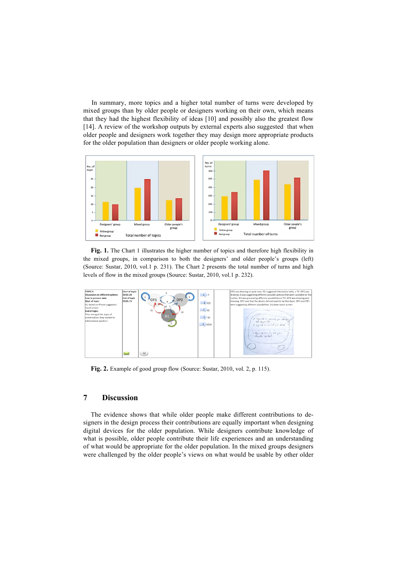In summary, more topics and a higher total number of turns were developed by mixed groups than by older people or designers working on their own, which means that they had the highest flexibility of ideas [10] and possibly also the greatest flow [14]. A review of the workshop outputs by external experts also suggested that when older people and designers work together they may design more appropriate products for the older population than designers or older people working alone.



**Fig. 1.** The Chart 1 illustrates the higher number of topics and therefore high flexibility in the mixed groups, in comparison to both the designers' and older people's groups (left) (Source: Sustar, 2010, vol.1 p. 231). The Chart 2 presents the total number of turns and high levels of flow in the mixed groups (Source: Sustar, 2010, vol.1 p. 232).



Fig. 2. Example of good group flow (Source: Sustar, 2010, vol. 2, p. 115).

#### **7 Discussion**

The evidence shows that while older people make different contributions to designers in the design process their contributions are equally important when designing digital devices for the older population. While designers contribute knowledge of what is possible, older people contribute their life experiences and an understanding of what would be appropriate for the older population. In the mixed groups designers were challenged by the older people's views on what would be usable by other older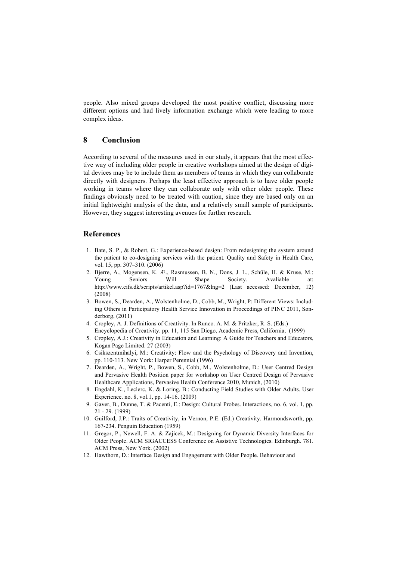people. Also mixed groups developed the most positive conflict, discussing more different options and had lively information exchange which were leading to more complex ideas.

#### **8 Conclusion**

According to several of the measures used in our study, it appears that the most effective way of including older people in creative workshops aimed at the design of digital devices may be to include them as members of teams in which they can collaborate directly with designers. Perhaps the least effective approach is to have older people working in teams where they can collaborate only with other older people. These findings obviously need to be treated with caution, since they are based only on an initial lightweight analysis of the data, and a relatively small sample of participants. However, they suggest interesting avenues for further research.

#### **References**

- 1. Bate, S. P., & Robert, G.: Experience-based design: From redesigning the system around the patient to co-designing services with the patient. Quality and Safety in Health Care, vol. 15, pp. 307–310. (2006)
- 2. Bjerre, A., Mogensen, K. Æ., Rasmussen, B. N., Dons, J. L., Schüle, H. & Kruse, M.: Young Seniors Will Shape Society. Avaliable at: http://www.cifs.dk/scripts/artikel.asp?id=1767&lng=2 (Last accessed: December, 12) (2008)
- 3. Bowen, S., Dearden, A., Wolstenholme, D., Cobb, M., Wright, P: Different Views: Including Others in Participatory Health Service Innovation in Proceedings of PINC 2011, Sønderborg, (2011)
- 4. Cropley, A. J. Definitions of Creativity. In Runco. A. M. & Pritzker, R. S. (Eds.) Encyclopedia of Creativity. pp. 11, 115 San Diego, Academic Press, California, (1999)
- 5. Cropley, A.J.: Creativity in Education and Learning: A Guide for Teachers and Educators, Kogan Page Limited. 27 (2003)
- 6. Csikszentmihalyi, M.: Creativity: Flow and the Psychology of Discovery and Invention, pp. 110-113. New York: Harper Perennial (1996)
- 7. Dearden, A., Wright, P., Bowen, S., Cobb, M., Wolstenholme, D.: User Centred Design and Pervasive Health Position paper for workshop on User Centred Design of Pervasive Healthcare Applications, Pervasive Health Conference 2010, Munich, (2010)
- 8. Engdahl, K., Leclerc, K. & Loring, B.: Conducting Field Studies with Older Adults. User Experience. no. 8, vol.1, pp. 14-16. (2009)
- 9. Gaver, B., Dunne, T. & Pacenti, E.: Design: Cultural Probes. Interactions, no. 6, vol. 1, pp. 21 - 29. (1999)
- 10. Guilford, J.P.: Traits of Creativity, in Vernon, P.E. (Ed.) Creativity. Harmondsworth, pp. 167-234. Penguin Education (1959)
- 11. Gregor, P., Newell, F. A. & Zajicek, M.: Designing for Dynamic Diversity Interfaces for Older People. ACM SIGACCESS Conference on Assistive Technologies. Edinburgh. 781. ACM Press, New York. (2002)
- 12. Hawthorn, D.: Interface Design and Engagement with Older People. Behaviour and